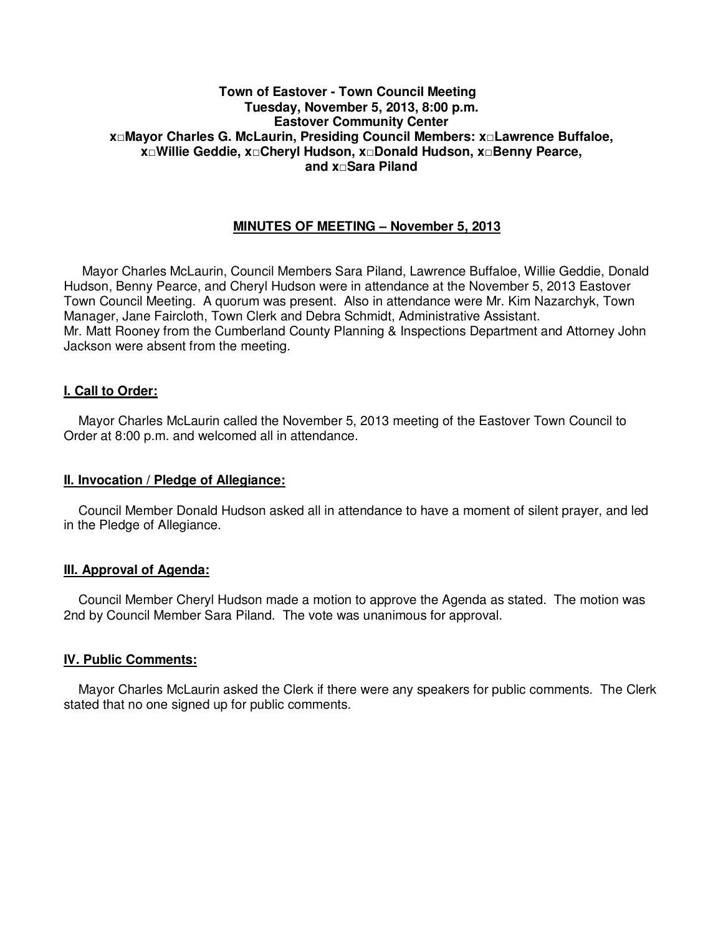#### **Town of Eastover - Town Council Meeting Tuesday, November 5, 2013, 8:00 p.m. Eastover Community Center x□Mayor Charles G. McLaurin, Presiding Council Members: x□Lawrence Buffaloe, x□Willie Geddie, x□Cheryl Hudson, x□Donald Hudson, x□Benny Pearce, and x□Sara Piland**

#### **MINUTES OF MEETING – November 5, 2013**

 Mayor Charles McLaurin, Council Members Sara Piland, Lawrence Buffaloe, Willie Geddie, Donald Hudson, Benny Pearce, and Cheryl Hudson were in attendance at the November 5, 2013 Eastover Town Council Meeting. A quorum was present. Also in attendance were Mr. Kim Nazarchyk, Town Manager, Jane Faircloth, Town Clerk and Debra Schmidt, Administrative Assistant. Mr. Matt Rooney from the Cumberland County Planning & Inspections Department and Attorney John Jackson were absent from the meeting.

#### **I. Call to Order:**

 Mayor Charles McLaurin called the November 5, 2013 meeting of the Eastover Town Council to Order at 8:00 p.m. and welcomed all in attendance.

#### **II. Invocation / Pledge of Allegiance:**

 Council Member Donald Hudson asked all in attendance to have a moment of silent prayer, and led in the Pledge of Allegiance.

#### **III. Approval of Agenda:**

 Council Member Cheryl Hudson made a motion to approve the Agenda as stated. The motion was 2nd by Council Member Sara Piland. The vote was unanimous for approval.

#### **IV. Public Comments:**

 Mayor Charles McLaurin asked the Clerk if there were any speakers for public comments. The Clerk stated that no one signed up for public comments.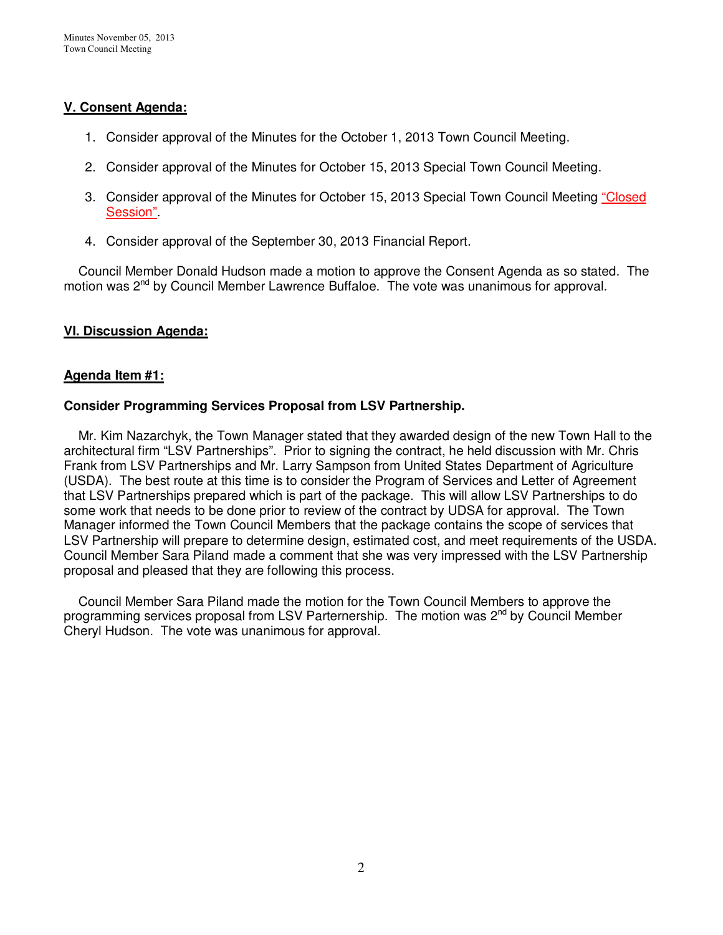# **V. Consent Agenda:**

- 1. Consider approval of the Minutes for the October 1, 2013 Town Council Meeting.
- 2. Consider approval of the Minutes for October 15, 2013 Special Town Council Meeting.
- 3. Consider approval of the Minutes for October 15, 2013 Special Town Council Meeting "Closed Session".
- 4. Consider approval of the September 30, 2013 Financial Report.

 Council Member Donald Hudson made a motion to approve the Consent Agenda as so stated. The motion was 2<sup>nd</sup> by Council Member Lawrence Buffaloe. The vote was unanimous for approval.

# **VI. Discussion Agenda:**

# **Agenda Item #1:**

# **Consider Programming Services Proposal from LSV Partnership.**

 Mr. Kim Nazarchyk, the Town Manager stated that they awarded design of the new Town Hall to the architectural firm "LSV Partnerships". Prior to signing the contract, he held discussion with Mr. Chris Frank from LSV Partnerships and Mr. Larry Sampson from United States Department of Agriculture (USDA). The best route at this time is to consider the Program of Services and Letter of Agreement that LSV Partnerships prepared which is part of the package. This will allow LSV Partnerships to do some work that needs to be done prior to review of the contract by UDSA for approval. The Town Manager informed the Town Council Members that the package contains the scope of services that LSV Partnership will prepare to determine design, estimated cost, and meet requirements of the USDA. Council Member Sara Piland made a comment that she was very impressed with the LSV Partnership proposal and pleased that they are following this process.

 Council Member Sara Piland made the motion for the Town Council Members to approve the programming services proposal from LSV Parternership. The motion was 2<sup>nd</sup> by Council Member Cheryl Hudson. The vote was unanimous for approval.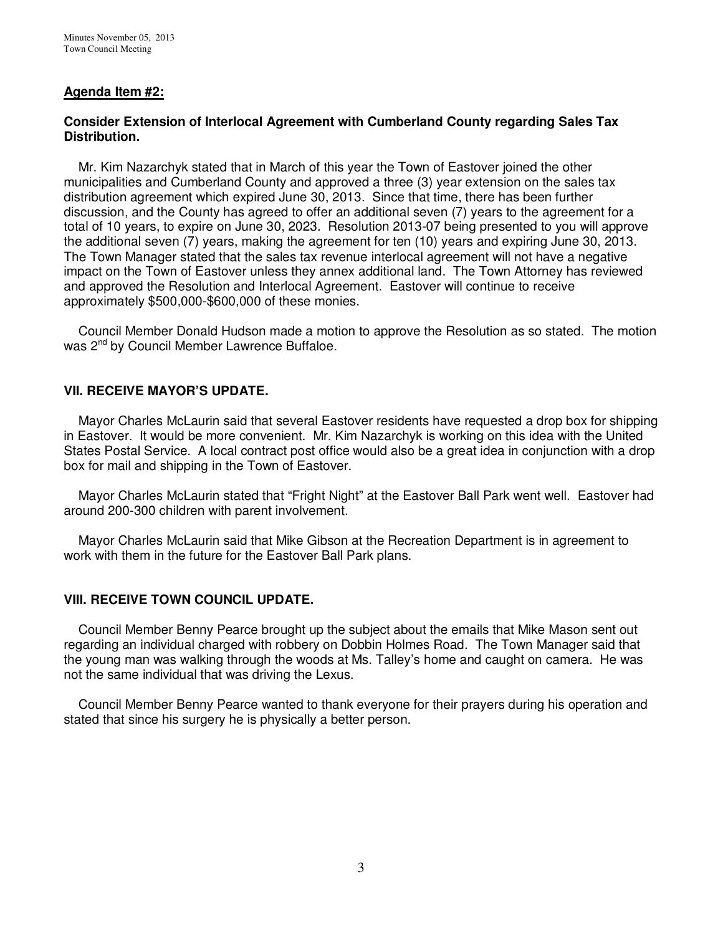# **Agenda Item #2:**

#### **Consider Extension of Interlocal Agreement with Cumberland County regarding Sales Tax Distribution.**

 Mr. Kim Nazarchyk stated that in March of this year the Town of Eastover joined the other municipalities and Cumberland County and approved a three (3) year extension on the sales tax distribution agreement which expired June 30, 2013. Since that time, there has been further discussion, and the County has agreed to offer an additional seven (7) years to the agreement for a total of 10 years, to expire on June 30, 2023. Resolution 2013-07 being presented to you will approve the additional seven (7) years, making the agreement for ten (10) years and expiring June 30, 2013. The Town Manager stated that the sales tax revenue interlocal agreement will not have a negative impact on the Town of Eastover unless they annex additional land. The Town Attorney has reviewed and approved the Resolution and Interlocal Agreement. Eastover will continue to receive approximately \$500,000-\$600,000 of these monies.

 Council Member Donald Hudson made a motion to approve the Resolution as so stated. The motion was 2<sup>nd</sup> by Council Member Lawrence Buffaloe.

# **VII. RECEIVE MAYOR'S UPDATE.**

 Mayor Charles McLaurin said that several Eastover residents have requested a drop box for shipping in Eastover. It would be more convenient. Mr. Kim Nazarchyk is working on this idea with the United States Postal Service. A local contract post office would also be a great idea in conjunction with a drop box for mail and shipping in the Town of Eastover.

 Mayor Charles McLaurin stated that "Fright Night" at the Eastover Ball Park went well. Eastover had around 200-300 children with parent involvement.

 Mayor Charles McLaurin said that Mike Gibson at the Recreation Department is in agreement to work with them in the future for the Eastover Ball Park plans.

#### **VIII. RECEIVE TOWN COUNCIL UPDATE.**

 Council Member Benny Pearce brought up the subject about the emails that Mike Mason sent out regarding an individual charged with robbery on Dobbin Holmes Road. The Town Manager said that the young man was walking through the woods at Ms. Talley's home and caught on camera. He was not the same individual that was driving the Lexus.

 Council Member Benny Pearce wanted to thank everyone for their prayers during his operation and stated that since his surgery he is physically a better person.